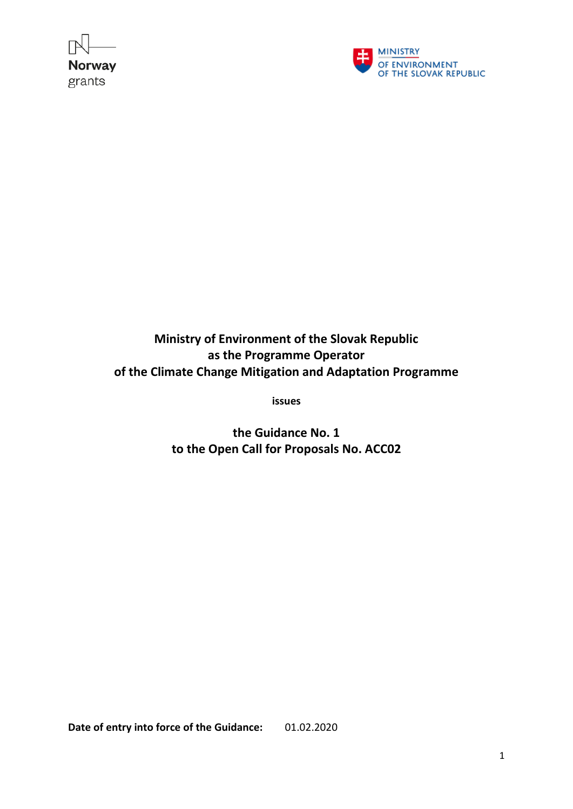



**Ministry of Environment of the Slovak Republic as the Programme Operator of the Climate Change Mitigation and Adaptation Programme** 

**issues**

**the Guidance No. 1 to the Open Call for Proposals No. ACC02**

**Date of entry into force of the Guidance:** 01.02.2020